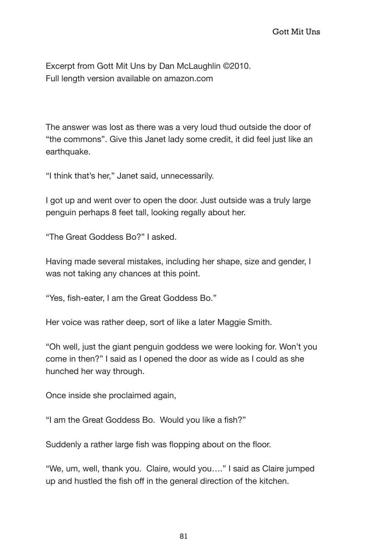Excerpt from Gott Mit Uns by Dan McLaughlin ©2010. Full length version available on amazon.com

The answer was lost as there was a very loud thud outside the door of "the commons". Give this Janet lady some credit, it did feel just like an earthquake.

"I think that's her," Janet said, unnecessarily.

I got up and went over to open the door. Just outside was a truly large penguin perhaps 8 feet tall, looking regally about her.

"The Great Goddess Bo?" I asked.

Having made several mistakes, including her shape, size and gender, I was not taking any chances at this point.

"Yes, fish-eater, I am the Great Goddess Bo."

Her voice was rather deep, sort of like a later Maggie Smith.

"Oh well, just the giant penguin goddess we were looking for. Won't you come in then?" I said as I opened the door as wide as I could as she hunched her way through.

Once inside she proclaimed again,

"I am the Great Goddess Bo. Would you like a fish?"

Suddenly a rather large fish was flopping about on the floor.

"We, um, well, thank you. Claire, would you…." I said as Claire jumped up and hustled the fish off in the general direction of the kitchen.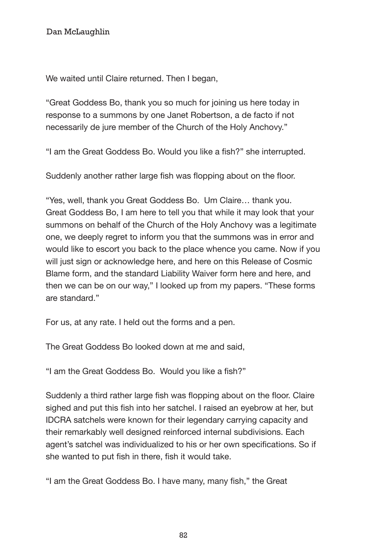We waited until Claire returned. Then I began,

"Great Goddess Bo, thank you so much for joining us here today in response to a summons by one Janet Robertson, a de facto if not necessarily de jure member of the Church of the Holy Anchovy."

"I am the Great Goddess Bo. Would you like a fish?" she interrupted.

Suddenly another rather large fish was flopping about on the floor.

"Yes, well, thank you Great Goddess Bo. Um Claire… thank you. Great Goddess Bo, I am here to tell you that while it may look that your summons on behalf of the Church of the Holy Anchovy was a legitimate one, we deeply regret to inform you that the summons was in error and would like to escort you back to the place whence you came. Now if you will just sign or acknowledge here, and here on this Release of Cosmic Blame form, and the standard Liability Waiver form here and here, and then we can be on our way," I looked up from my papers. "These forms are standard."

For us, at any rate. I held out the forms and a pen.

The Great Goddess Bo looked down at me and said,

"I am the Great Goddess Bo. Would you like a fish?"

Suddenly a third rather large fish was flopping about on the floor. Claire sighed and put this fish into her satchel. I raised an eyebrow at her, but IDCRA satchels were known for their legendary carrying capacity and their remarkably well designed reinforced internal subdivisions. Each agent's satchel was individualized to his or her own specifications. So if she wanted to put fish in there, fish it would take.

"I am the Great Goddess Bo. I have many, many fish," the Great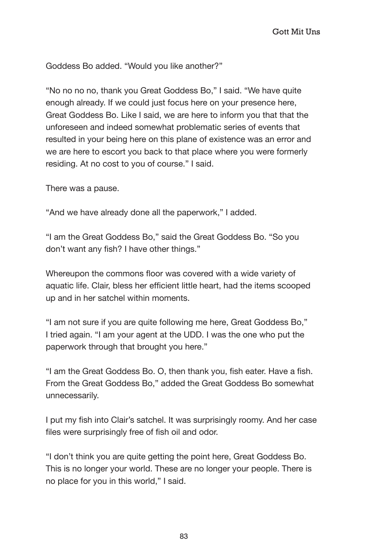Goddess Bo added. "Would you like another?"

"No no no no, thank you Great Goddess Bo," I said. "We have quite enough already. If we could just focus here on your presence here, Great Goddess Bo. Like I said, we are here to inform you that that the unforeseen and indeed somewhat problematic series of events that resulted in your being here on this plane of existence was an error and we are here to escort you back to that place where you were formerly residing. At no cost to you of course." I said.

There was a pause.

"And we have already done all the paperwork," I added.

"I am the Great Goddess Bo," said the Great Goddess Bo. "So you don't want any fish? I have other things."

Whereupon the commons floor was covered with a wide variety of aquatic life. Clair, bless her efficient little heart, had the items scooped up and in her satchel within moments.

"I am not sure if you are quite following me here, Great Goddess Bo," I tried again. "I am your agent at the UDD. I was the one who put the paperwork through that brought you here."

"I am the Great Goddess Bo. O, then thank you, fish eater. Have a fish. From the Great Goddess Bo," added the Great Goddess Bo somewhat unnecessarily.

I put my fish into Clair's satchel. It was surprisingly roomy. And her case files were surprisingly free of fish oil and odor.

"I don't think you are quite getting the point here, Great Goddess Bo. This is no longer your world. These are no longer your people. There is no place for you in this world," I said.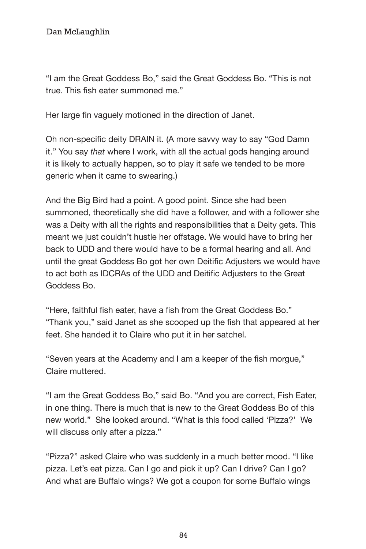"I am the Great Goddess Bo," said the Great Goddess Bo. "This is not true. This fish eater summoned me."

Her large fin vaguely motioned in the direction of Janet.

Oh non-specific deity DRAIN it. (A more savvy way to say "God Damn it." You say *that* where I work, with all the actual gods hanging around it is likely to actually happen, so to play it safe we tended to be more generic when it came to swearing.)

And the Big Bird had a point. A good point. Since she had been summoned, theoretically she did have a follower, and with a follower she was a Deity with all the rights and responsibilities that a Deity gets. This meant we just couldn't hustle her offstage. We would have to bring her back to UDD and there would have to be a formal hearing and all. And until the great Goddess Bo got her own Deitific Adjusters we would have to act both as IDCRAs of the UDD and Deitific Adjusters to the Great Goddess Bo.

"Here, faithful fish eater, have a fish from the Great Goddess Bo." "Thank you," said Janet as she scooped up the fish that appeared at her feet. She handed it to Claire who put it in her satchel.

"Seven years at the Academy and I am a keeper of the fish morgue," Claire muttered.

"I am the Great Goddess Bo," said Bo. "And you are correct, Fish Eater, in one thing. There is much that is new to the Great Goddess Bo of this new world." She looked around. "What is this food called 'Pizza?' We will discuss only after a pizza."

"Pizza?" asked Claire who was suddenly in a much better mood. "I like pizza. Let's eat pizza. Can I go and pick it up? Can I drive? Can I go? And what are Buffalo wings? We got a coupon for some Buffalo wings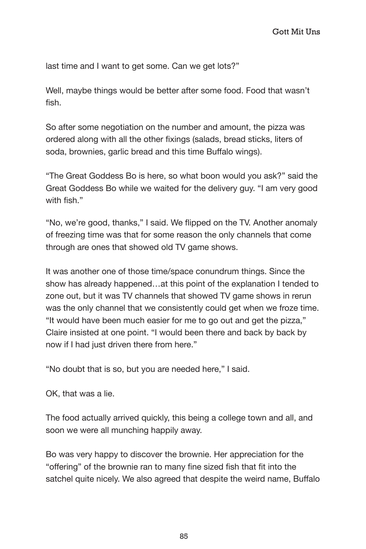last time and I want to get some. Can we get lots?"

Well, maybe things would be better after some food. Food that wasn't fish.

So after some negotiation on the number and amount, the pizza was ordered along with all the other fixings (salads, bread sticks, liters of soda, brownies, garlic bread and this time Buffalo wings).

"The Great Goddess Bo is here, so what boon would you ask?" said the Great Goddess Bo while we waited for the delivery guy. "I am very good with fish "

"No, we're good, thanks," I said. We flipped on the TV. Another anomaly of freezing time was that for some reason the only channels that come through are ones that showed old TV game shows.

It was another one of those time/space conundrum things. Since the show has already happened…at this point of the explanation I tended to zone out, but it was TV channels that showed TV game shows in rerun was the only channel that we consistently could get when we froze time. "It would have been much easier for me to go out and get the pizza," Claire insisted at one point. "I would been there and back by back by now if I had just driven there from here."

"No doubt that is so, but you are needed here," I said.

OK, that was a lie.

The food actually arrived quickly, this being a college town and all, and soon we were all munching happily away.

Bo was very happy to discover the brownie. Her appreciation for the "offering" of the brownie ran to many fine sized fish that fit into the satchel quite nicely. We also agreed that despite the weird name, Buffalo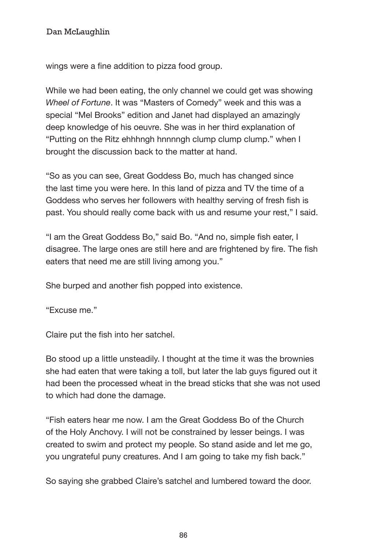Dan McLaughlin Gott Mit Unstand Mit Unstand Mit Unstand Mit Unstand Mit Unstand Mit Unstand Mit Unstand Mit Un

wings were a fine addition to pizza food group.

While we had been eating, the only channel we could get was showing *Wheel of Fortune*. It was "Masters of Comedy" week and this was a special "Mel Brooks" edition and Janet had displayed an amazingly deep knowledge of his oeuvre. She was in her third explanation of "Putting on the Ritz ehhhngh hnnnngh clump clump clump." when I brought the discussion back to the matter at hand.

"So as you can see, Great Goddess Bo, much has changed since the last time you were here. In this land of pizza and TV the time of a Goddess who serves her followers with healthy serving of fresh fish is past. You should really come back with us and resume your rest," I said.

"I am the Great Goddess Bo," said Bo. "And no, simple fish eater, I disagree. The large ones are still here and are frightened by fire. The fish eaters that need me are still living among you."

She burped and another fish popped into existence.

"Excuse me."

Claire put the fish into her satchel.

Bo stood up a little unsteadily. I thought at the time it was the brownies she had eaten that were taking a toll, but later the lab guys figured out it had been the processed wheat in the bread sticks that she was not used to which had done the damage.

"Fish eaters hear me now. I am the Great Goddess Bo of the Church of the Holy Anchovy. I will not be constrained by lesser beings. I was created to swim and protect my people. So stand aside and let me go, you ungrateful puny creatures. And I am going to take my fish back."

So saying she grabbed Claire's satchel and lumbered toward the door.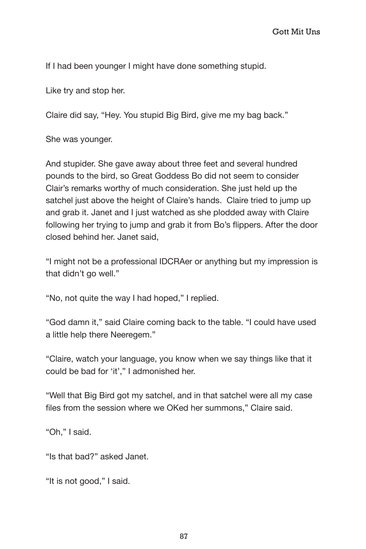dan McLaughlin Gott Mit Unstand Gott Mit Unst

If I had been younger I might have done something stupid.

Like try and stop her.

Claire did say, "Hey. You stupid Big Bird, give me my bag back."

She was younger.

And stupider. She gave away about three feet and several hundred pounds to the bird, so Great Goddess Bo did not seem to consider Clair's remarks worthy of much consideration. She just held up the satchel just above the height of Claire's hands. Claire tried to jump up and grab it. Janet and I just watched as she plodded away with Claire following her trying to jump and grab it from Bo's flippers. After the door closed behind her. Janet said,

"I might not be a professional IDCRAer or anything but my impression is that didn't go well."

"No, not quite the way I had hoped," I replied.

"God damn it," said Claire coming back to the table. "I could have used a little help there Neeregem."

"Claire, watch your language, you know when we say things like that it could be bad for 'it'," I admonished her.

"Well that Big Bird got my satchel, and in that satchel were all my case files from the session where we OKed her summons," Claire said.

"Oh," I said.

"Is that bad?" asked Janet.

"It is not good," I said.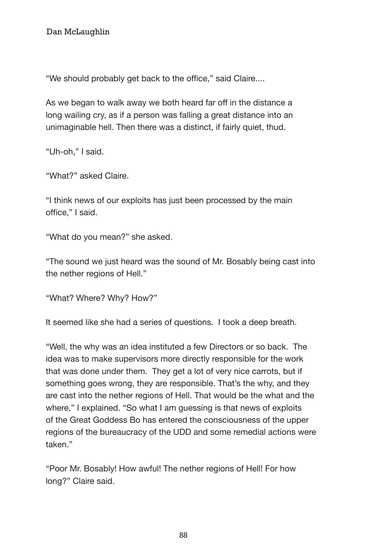Dan McLaughlin Gott Mit Unstand Mit Unstand Mit Unstand Mit Unstand Mit Unstand Mit Unstand Mit Unstand Mit Un

"We should probably get back to the office," said Claire....

As we began to walk away we both heard far off in the distance a long wailing cry, as if a person was falling a great distance into an unimaginable hell. Then there was a distinct, if fairly quiet, thud.

"Uh-oh," I said.

"What?" asked Claire.

"I think news of our exploits has just been processed by the main office," I said.

"What do you mean?" she asked.

"The sound we just heard was the sound of Mr. Bosably being cast into the nether regions of Hell."

"What? Where? Why? How?"

It seemed like she had a series of questions. I took a deep breath.

"Well, the why was an idea instituted a few Directors or so back. The idea was to make supervisors more directly responsible for the work that was done under them. They get a lot of very nice carrots, but if something goes wrong, they are responsible. That's the why, and they are cast into the nether regions of Hell. That would be the what and the where," I explained. "So what I am guessing is that news of exploits of the Great Goddess Bo has entered the consciousness of the upper regions of the bureaucracy of the UDD and some remedial actions were taken."

"Poor Mr. Bosably! How awful! The nether regions of Hell! For how long?" Claire said.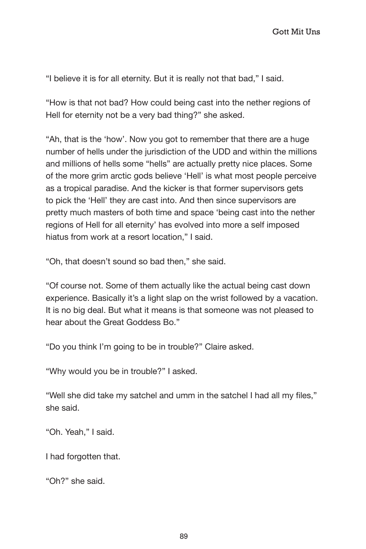"I believe it is for all eternity. But it is really not that bad," I said.

"How is that not bad? How could being cast into the nether regions of Hell for eternity not be a very bad thing?" she asked.

"Ah, that is the 'how'. Now you got to remember that there are a huge number of hells under the jurisdiction of the UDD and within the millions and millions of hells some "hells" are actually pretty nice places. Some of the more grim arctic gods believe 'Hell' is what most people perceive as a tropical paradise. And the kicker is that former supervisors gets to pick the 'Hell' they are cast into. And then since supervisors are pretty much masters of both time and space 'being cast into the nether regions of Hell for all eternity' has evolved into more a self imposed hiatus from work at a resort location," I said.

"Oh, that doesn't sound so bad then," she said.

"Of course not. Some of them actually like the actual being cast down experience. Basically it's a light slap on the wrist followed by a vacation. It is no big deal. But what it means is that someone was not pleased to hear about the Great Goddess Bo."

"Do you think I'm going to be in trouble?" Claire asked.

"Why would you be in trouble?" I asked.

"Well she did take my satchel and umm in the satchel I had all my files," she said.

"Oh. Yeah," I said.

I had forgotten that.

"Oh?" she said.